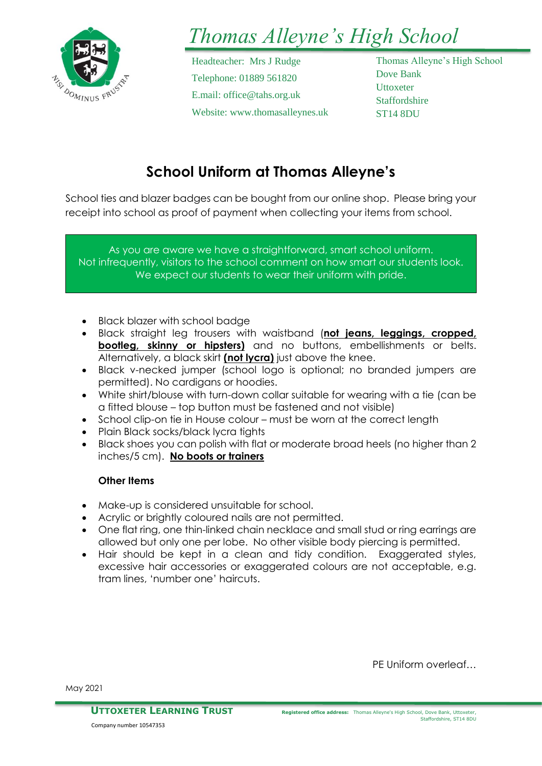

# *Thomas Alleyne's High School*

Headteacher: Mrs J Rudge Telephone: 01889 561820 E.mail: office@tahs.org.uk Website: www.thomasalleynes.uk Thomas Alleyne's High School Dove Bank **Uttoxeter Staffordshire** ST14 8DU

## **School Uniform at Thomas Alleyne's**

School ties and blazer badges can be bought from our online shop. Please bring your receipt into school as proof of payment when collecting your items from school.

As you are aware we have a straightforward, smart school uniform. Not infrequently, visitors to the school comment on how smart our students look. We expect our students to wear their uniform with pride.

- Black blazer with school badge
- Black straight leg trousers with waistband (**not jeans, leggings, cropped, bootleg, skinny or hipsters)** and no buttons, embellishments or belts. Alternatively, a black skirt **(not lycra)** just above the knee.
- Black v-necked jumper (school logo is optional; no branded jumpers are permitted). No cardigans or hoodies.
- White shirt/blouse with turn-down collar suitable for wearing with a tie (can be a fitted blouse – top button must be fastened and not visible)
- School clip-on tie in House colour must be worn at the correct length
- Plain Black socks/black lycra tights
- Black shoes you can polish with flat or moderate broad heels (no higher than 2 inches/5 cm). **No boots or trainers**

## **Other Items**

- Make-up is considered unsuitable for school.
- Acrylic or brightly coloured nails are not permitted.
- One flat ring, one thin-linked chain necklace and small stud or ring earrings are allowed but only one per lobe. No other visible body piercing is permitted.
- Hair should be kept in a clean and tidy condition. Exaggerated styles, excessive hair accessories or exaggerated colours are not acceptable, e.g. tram lines, 'number one' haircuts.

PE Uniform overleaf…

May 2021